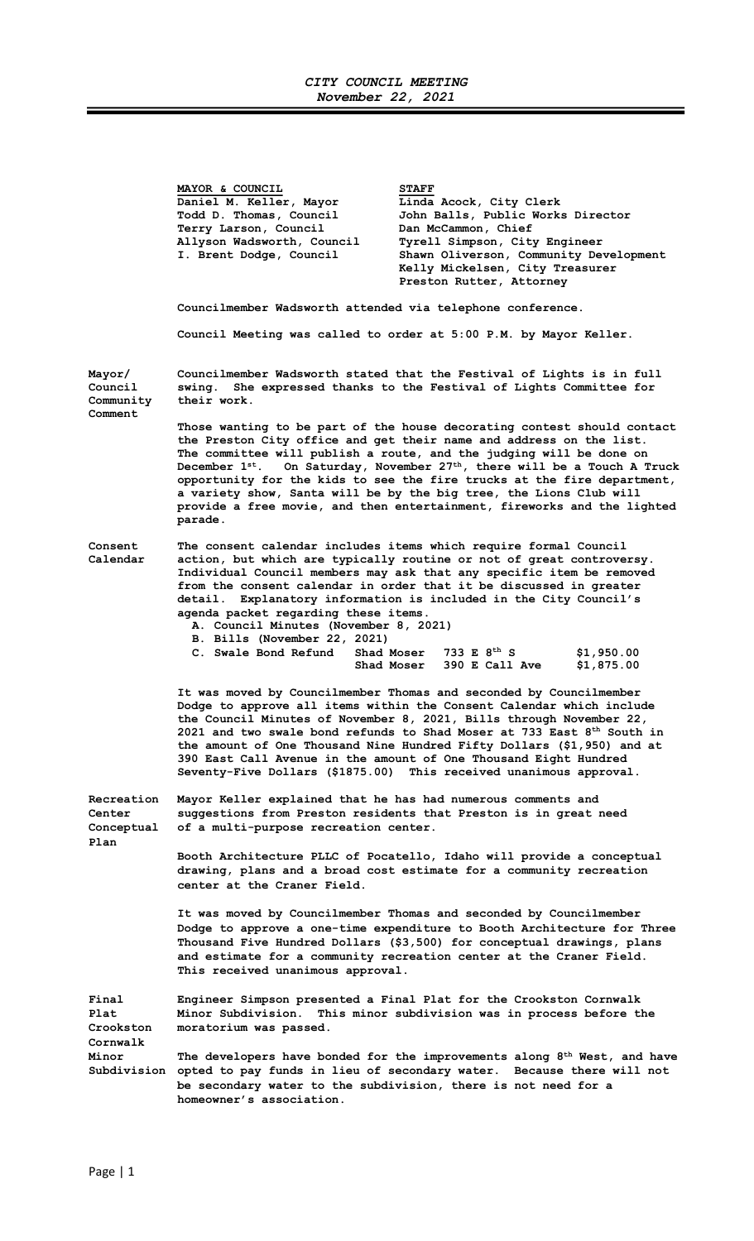## CITY COUNCIL MEETING November 22, 2021

Ξ

|                                           | MAYOR & COUNCIL<br>Daniel M. Keller, Mayor<br>Todd D. Thomas, Council<br>Terry Larson, Council<br>Allyson Wadsworth, Council<br>I. Brent Dodge, Council                                                                                                                                                                                                                                                                                                                                                              | <b>STAFF</b><br>Linda Acock, City Clerk<br>John Balls, Public Works Director<br>Dan McCammon, Chief<br>Tyrell Simpson, City Engineer<br>Shawn Oliverson, Community Development<br>Kelly Mickelsen, City Treasurer<br>Preston Rutter, Attorney                                                                                                                                                                                                                                                                                                   |  |
|-------------------------------------------|----------------------------------------------------------------------------------------------------------------------------------------------------------------------------------------------------------------------------------------------------------------------------------------------------------------------------------------------------------------------------------------------------------------------------------------------------------------------------------------------------------------------|-------------------------------------------------------------------------------------------------------------------------------------------------------------------------------------------------------------------------------------------------------------------------------------------------------------------------------------------------------------------------------------------------------------------------------------------------------------------------------------------------------------------------------------------------|--|
|                                           | Councilmember Wadsworth attended via telephone conference.                                                                                                                                                                                                                                                                                                                                                                                                                                                           |                                                                                                                                                                                                                                                                                                                                                                                                                                                                                                                                                 |  |
|                                           |                                                                                                                                                                                                                                                                                                                                                                                                                                                                                                                      | Council Meeting was called to order at 5:00 P.M. by Mayor Keller.                                                                                                                                                                                                                                                                                                                                                                                                                                                                               |  |
| Mayor/<br>Council<br>Community<br>Comment | swing.<br>their work.                                                                                                                                                                                                                                                                                                                                                                                                                                                                                                | Councilmember Wadsworth stated that the Festival of Lights is in full<br>She expressed thanks to the Festival of Lights Committee for                                                                                                                                                                                                                                                                                                                                                                                                           |  |
|                                           | parade.                                                                                                                                                                                                                                                                                                                                                                                                                                                                                                              | Those wanting to be part of the house decorating contest should contact<br>the Preston City office and get their name and address on the list.<br>The committee will publish a route, and the judging will be done on<br>December $1^{st}$ . On Saturday, November 27 <sup>th</sup> , there will be a Touch A Truck<br>opportunity for the kids to see the fire trucks at the fire department,<br>a variety show, Santa will be by the big tree, the Lions Club will<br>provide a free movie, and then entertainment, fireworks and the lighted |  |
| Consent<br>Calendar                       | agenda packet regarding these items.<br>A. Council Minutes (November 8, 2021)<br>B. Bills (November 22, 2021)<br>C. Swale Bond Refund<br>Shad Moser                                                                                                                                                                                                                                                                                                                                                                  | The consent calendar includes items which require formal Council<br>action, but which are typically routine or not of great controversy.<br>Individual Council members may ask that any specific item be removed<br>from the consent calendar in order that it be discussed in greater<br>detail. Explanatory information is included in the City Council's<br>733 E $8^{th}$ S<br>\$1,950.00                                                                                                                                                   |  |
|                                           |                                                                                                                                                                                                                                                                                                                                                                                                                                                                                                                      | 390 E Call Ave<br>\$1,875.00<br>Shad Moser                                                                                                                                                                                                                                                                                                                                                                                                                                                                                                      |  |
|                                           | It was moved by Councilmember Thomas and seconded by Councilmember<br>Dodge to approve all items within the Consent Calendar which include<br>the Council Minutes of November 8, 2021, Bills through November 22,<br>2021 and two swale bond refunds to Shad Moser at 733 East $8th$ South in<br>the amount of One Thousand Nine Hundred Fifty Dollars (\$1,950) and at<br>390 East Call Avenue in the amount of One Thousand Eight Hundred<br>Seventy-Five Dollars (\$1875.00)<br>This received unanimous approval. |                                                                                                                                                                                                                                                                                                                                                                                                                                                                                                                                                 |  |
| Recreation<br>Center<br>Conceptual        | Mayor Keller explained that he has had numerous comments and<br>of a multi-purpose recreation center.                                                                                                                                                                                                                                                                                                                                                                                                                | suggestions from Preston residents that Preston is in great need                                                                                                                                                                                                                                                                                                                                                                                                                                                                                |  |
| Plan                                      | center at the Craner Field.                                                                                                                                                                                                                                                                                                                                                                                                                                                                                          | Booth Architecture PLLC of Pocatello, Idaho will provide a conceptual<br>drawing, plans and a broad cost estimate for a community recreation                                                                                                                                                                                                                                                                                                                                                                                                    |  |
|                                           | This received unanimous approval.                                                                                                                                                                                                                                                                                                                                                                                                                                                                                    | It was moved by Councilmember Thomas and seconded by Councilmember<br>Dodge to approve a one-time expenditure to Booth Architecture for Three<br>Thousand Five Hundred Dollars (\$3,500) for conceptual drawings, plans<br>and estimate for a community recreation center at the Craner Field.                                                                                                                                                                                                                                                  |  |
| Final<br>Plat<br>Crookston<br>Cornwalk    | moratorium was passed.                                                                                                                                                                                                                                                                                                                                                                                                                                                                                               | Engineer Simpson presented a Final Plat for the Crookston Cornwalk<br>Minor Subdivision. This minor subdivision was in process before the                                                                                                                                                                                                                                                                                                                                                                                                       |  |
| Minor                                     | homeowner's association.                                                                                                                                                                                                                                                                                                                                                                                                                                                                                             | The developers have bonded for the improvements along 8 <sup>th</sup> West, and have<br>Subdivision opted to pay funds in lieu of secondary water. Because there will not<br>be secondary water to the subdivision, there is not need for a                                                                                                                                                                                                                                                                                                     |  |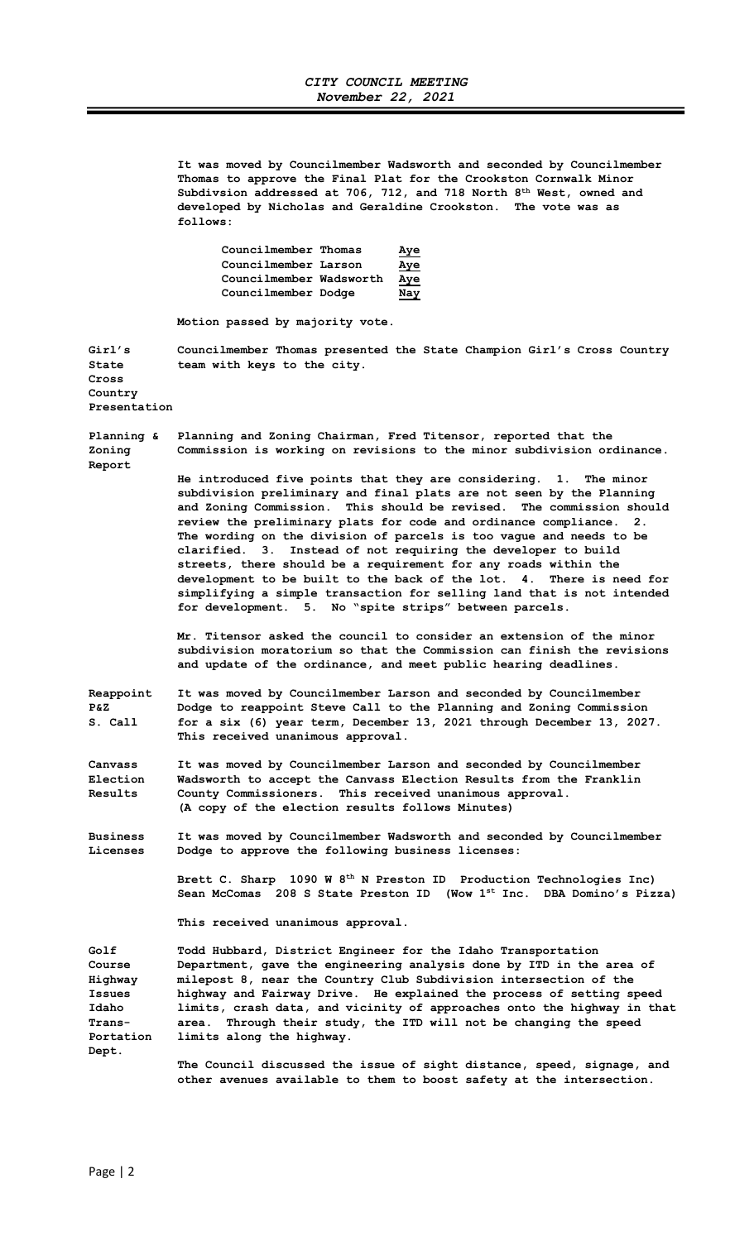It was moved by Councilmember Wadsworth and seconded by Councilmember Thomas to approve the Final Plat for the Crookston Cornwalk Minor Subdivsion addressed at 706, 712, and 718 North 8<sup>th</sup> West, owned and developed by Nicholas and Geraldine Crookston. The vote was as follows:

| Councilmember Thomas    | <u>Aye</u> |
|-------------------------|------------|
| Councilmember Larson    | <u>Aye</u> |
| Councilmember Wadsworth | Aye        |
| Councilmember Dodge     | Nay        |

Motion passed by majority vote.

Girl's Councilmember Thomas presented the State Champion Girl's Cross Country State team with keys to the city.

Cross Country Presentation

Planning & Planning and Zoning Chairman, Fred Titensor, reported that the Zoning Commission is working on revisions to the minor subdivision ordinance. Report

> He introduced five points that they are considering. 1. The minor subdivision preliminary and final plats are not seen by the Planning and Zoning Commission. This should be revised. The commission should review the preliminary plats for code and ordinance compliance. 2. The wording on the division of parcels is too vague and needs to be clarified. 3. Instead of not requiring the developer to build streets, there should be a requirement for any roads within the development to be built to the back of the lot. 4. There is need for simplifying a simple transaction for selling land that is not intended for development. 5. No "spite strips" between parcels.

> Mr. Titensor asked the council to consider an extension of the minor subdivision moratorium so that the Commission can finish the revisions and update of the ordinance, and meet public hearing deadlines.

Reappoint It was moved by Councilmember Larson and seconded by Councilmember P&Z Dodge to reappoint Steve Call to the Planning and Zoning Commission S. Call for a six (6) year term, December 13, 2021 through December 13, 2027. This received unanimous approval.

Canvass It was moved by Councilmember Larson and seconded by Councilmember Election Wadsworth to accept the Canvass Election Results from the Franklin Results County Commissioners. This received unanimous approval. (A copy of the election results follows Minutes)

Business It was moved by Councilmember Wadsworth and seconded by Councilmember Licenses Dodge to approve the following business licenses:

> Brett C. Sharp 1090 W 8th N Preston ID Production Technologies Inc) Sean McComas 208 S State Preston ID (Wow 1st Inc. DBA Domino's Pizza)

This received unanimous approval.

Golf Todd Hubbard, District Engineer for the Idaho Transportation Course Department, gave the engineering analysis done by ITD in the area of Highway milepost 8, near the Country Club Subdivision intersection of the Issues highway and Fairway Drive. He explained the process of setting speed Idaho limits, crash data, and vicinity of approaches onto the highway in that Trans- area. Through their study, the ITD will not be changing the speed Portation limits along the highway. Dept.

> The Council discussed the issue of sight distance, speed, signage, and other avenues available to them to boost safety at the intersection.